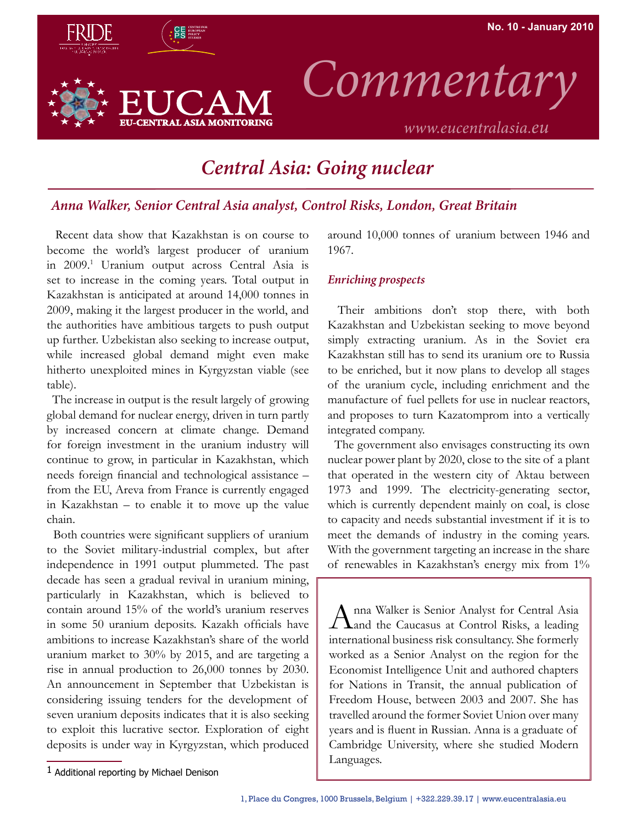

## *Central Asia: Going nuclear*

## *Anna Walker, Senior Central Asia analyst, Control Risks, London, Great Britain*

 Recent data show that Kazakhstan is on course to become the world's largest producer of uranium in 2009.1 Uranium output across Central Asia is set to increase in the coming years. Total output in Kazakhstan is anticipated at around 14,000 tonnes in 2009, making it the largest producer in the world, and the authorities have ambitious targets to push output up further. Uzbekistan also seeking to increase output, while increased global demand might even make hitherto unexploited mines in Kyrgyzstan viable (see table).

 The increase in output is the result largely of growing global demand for nuclear energy, driven in turn partly by increased concern at climate change. Demand for foreign investment in the uranium industry will continue to grow, in particular in Kazakhstan, which needs foreign financial and technological assistance – from the EU, Areva from France is currently engaged in Kazakhstan – to enable it to move up the value chain.

 Both countries were significant suppliers of uranium to the Soviet military-industrial complex, but after independence in 1991 output plummeted. The past decade has seen a gradual revival in uranium mining, particularly in Kazakhstan, which is believed to contain around 15% of the world's uranium reserves in some 50 uranium deposits. Kazakh officials have ambitions to increase Kazakhstan's share of the world uranium market to 30% by 2015, and are targeting a rise in annual production to 26,000 tonnes by 2030. An announcement in September that Uzbekistan is considering issuing tenders for the development of seven uranium deposits indicates that it is also seeking to exploit this lucrative sector. Exploration of eight deposits is under way in Kyrgyzstan, which produced around 10,000 tonnes of uranium between 1946 and 1967.

## *Enriching prospects*

 Their ambitions don't stop there, with both Kazakhstan and Uzbekistan seeking to move beyond simply extracting uranium. As in the Soviet era Kazakhstan still has to send its uranium ore to Russia to be enriched, but it now plans to develop all stages of the uranium cycle, including enrichment and the manufacture of fuel pellets for use in nuclear reactors, and proposes to turn Kazatomprom into a vertically integrated company.

 The government also envisages constructing its own nuclear power plant by 2020, close to the site of a plant that operated in the western city of Aktau between 1973 and 1999. The electricity-generating sector, which is currently dependent mainly on coal, is close to capacity and needs substantial investment if it is to meet the demands of industry in the coming years. With the government targeting an increase in the share of renewables in Kazakhstan's energy mix from 1%

Anna Walker is Senior Analyst for Central Asia Land the Caucasus at Control Risks, a leading international business risk consultancy. She formerly worked as a Senior Analyst on the region for the Economist Intelligence Unit and authored chapters for Nations in Transit, the annual publication of Freedom House, between 2003 and 2007. She has travelled around the former Soviet Union over many years and is fluent in Russian. Anna is a graduate of Cambridge University, where she studied Modern Languages.

<sup>1</sup> Additional reporting by Michael Denison